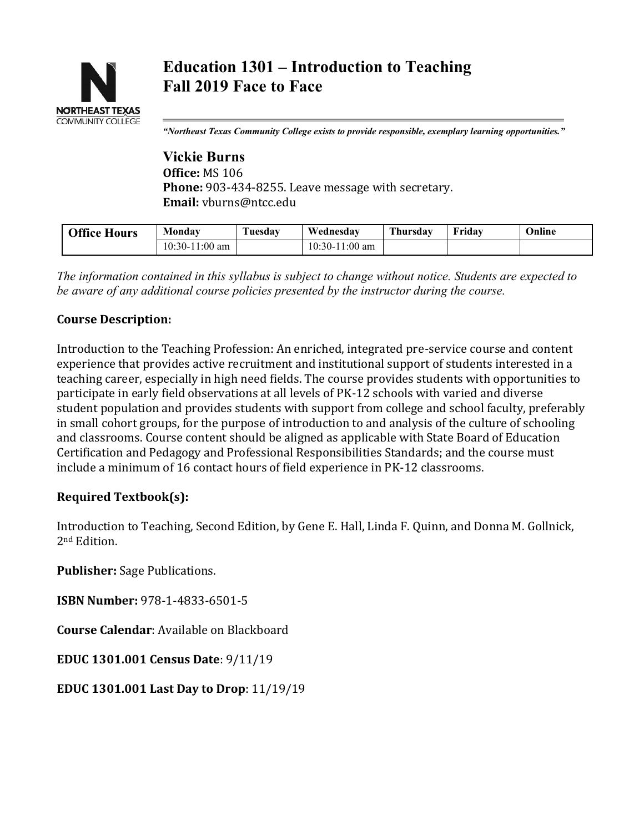

*"Northeast Texas Community College exists to provide responsible, exemplary learning opportunities."*

**Vickie Burns Office:** MS 106 **Phone:** 903-434-8255. Leave message with secretary. **Email:** vburns@ntcc.edu

| <b>Office Hours</b> | Monday           | <b>Tuesdav</b> | Wednesdav        | <b>Thursday</b> | <b>Friday</b> | Online |
|---------------------|------------------|----------------|------------------|-----------------|---------------|--------|
|                     | $10:30-11:00$ am |                | $10:30-11:00$ am |                 |               |        |
|                     |                  |                |                  |                 |               |        |

*The information contained in this syllabus is subject to change without notice. Students are expected to be aware of any additional course policies presented by the instructor during the course.*

#### **Course Description:**

Introduction to the Teaching Profession: An enriched, integrated pre-service course and content experience that provides active recruitment and institutional support of students interested in a teaching career, especially in high need fields. The course provides students with opportunities to participate in early field observations at all levels of PK-12 schools with varied and diverse student population and provides students with support from college and school faculty, preferably in small cohort groups, for the purpose of introduction to and analysis of the culture of schooling and classrooms. Course content should be aligned as applicable with State Board of Education Certification and Pedagogy and Professional Responsibilities Standards; and the course must include a minimum of 16 contact hours of field experience in PK-12 classrooms.

#### **Required Textbook(s):**

Introduction to Teaching, Second Edition, by Gene E. Hall, Linda F. Quinn, and Donna M. Gollnick, 2nd Edition.

**Publisher:** Sage Publications.

**ISBN Number:** 978-1-4833-6501-5

**Course Calendar**: Available on Blackboard

**EDUC 1301.001 Census Date**: 9/11/19

**EDUC 1301.001 Last Day to Drop**: 11/19/19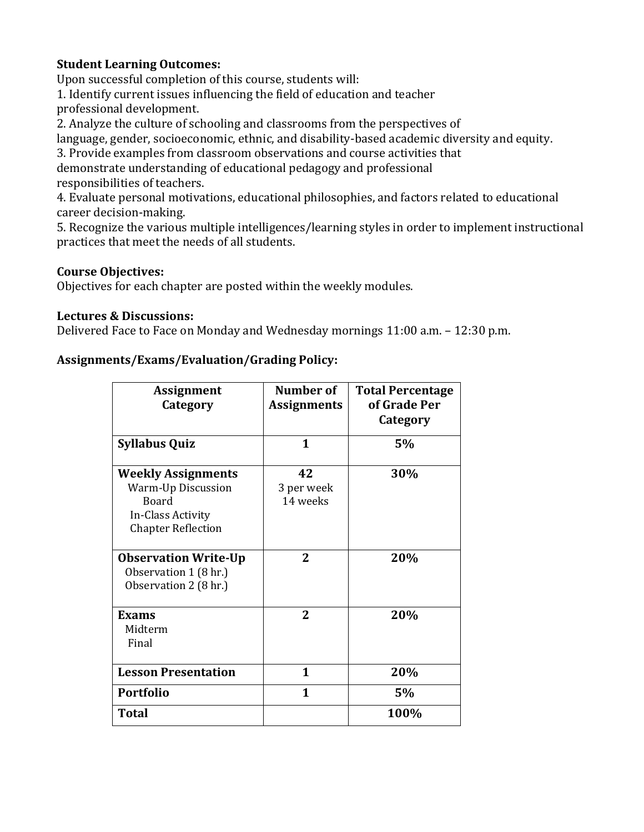# **Student Learning Outcomes:**

Upon successful completion of this course, students will:

1. Identify current issues influencing the field of education and teacher professional development.

2. Analyze the culture of schooling and classrooms from the perspectives of

language, gender, socioeconomic, ethnic, and disability-based academic diversity and equity.

3. Provide examples from classroom observations and course activities that

demonstrate understanding of educational pedagogy and professional responsibilities of teachers.

4. Evaluate personal motivations, educational philosophies, and factors related to educational career decision-making.

5. Recognize the various multiple intelligences/learning styles in order to implement instructional practices that meet the needs of all students.

# **Course Objectives:**

Objectives for each chapter are posted within the weekly modules.

## **Lectures & Discussions:**

Delivered Face to Face on Monday and Wednesday mornings 11:00 a.m. – 12:30 p.m.

## **Assignments/Exams/Evaluation/Grading Policy:**

| <b>Assignment</b>                                                                                                 | Number of                    | <b>Total Percentage</b> |  |
|-------------------------------------------------------------------------------------------------------------------|------------------------------|-------------------------|--|
| Category                                                                                                          | <b>Assignments</b>           | of Grade Per            |  |
|                                                                                                                   |                              | Category                |  |
| <b>Syllabus Quiz</b>                                                                                              | 1                            | 5%                      |  |
| <b>Weekly Assignments</b><br>Warm-Up Discussion<br><b>Board</b><br>In-Class Activity<br><b>Chapter Reflection</b> | 42<br>3 per week<br>14 weeks | 30%                     |  |
| <b>Observation Write-Up</b><br>Observation 1 (8 hr.)<br>Observation 2 (8 hr.)                                     | $\mathbf{2}$                 | 20%                     |  |
| <b>Exams</b><br>Midterm<br>Final                                                                                  | 2                            | 20%                     |  |
| <b>Lesson Presentation</b>                                                                                        | 1                            | 20%                     |  |
| <b>Portfolio</b>                                                                                                  | 1                            | 5%                      |  |
| <b>Total</b>                                                                                                      |                              | 100%                    |  |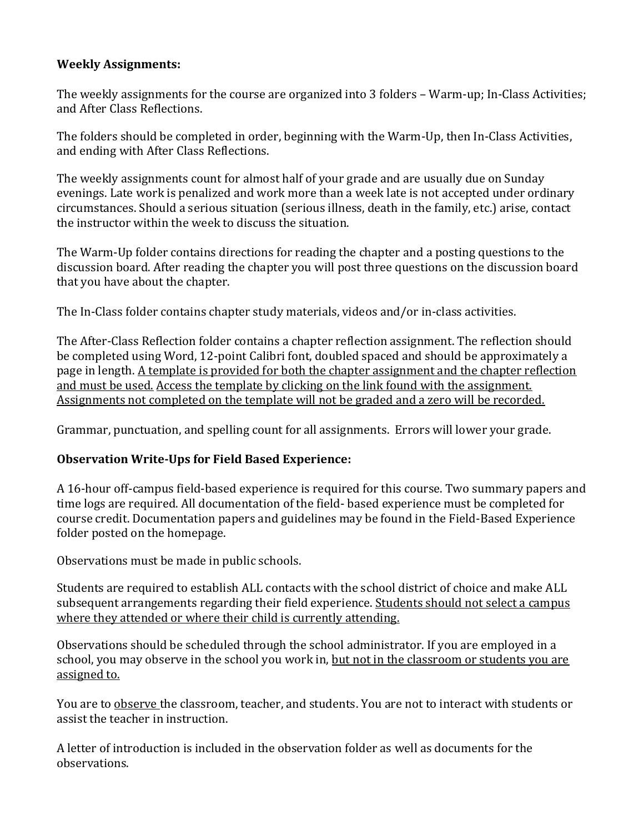## **Weekly Assignments:**

The weekly assignments for the course are organized into 3 folders – Warm-up; In-Class Activities; and After Class Reflections.

The folders should be completed in order, beginning with the Warm-Up, then In-Class Activities, and ending with After Class Reflections.

The weekly assignments count for almost half of your grade and are usually due on Sunday evenings. Late work is penalized and work more than a week late is not accepted under ordinary circumstances. Should a serious situation (serious illness, death in the family, etc.) arise, contact the instructor within the week to discuss the situation.

The Warm-Up folder contains directions for reading the chapter and a posting questions to the discussion board. After reading the chapter you will post three questions on the discussion board that you have about the chapter.

The In-Class folder contains chapter study materials, videos and/or in-class activities.

The After-Class Reflection folder contains a chapter reflection assignment. The reflection should be completed using Word, 12-point Calibri font, doubled spaced and should be approximately a page in length. A template is provided for both the chapter assignment and the chapter reflection and must be used. Access the template by clicking on the link found with the assignment. Assignments not completed on the template will not be graded and a zero will be recorded.

Grammar, punctuation, and spelling count for all assignments. Errors will lower your grade.

# **Observation Write-Ups for Field Based Experience:**

A 16-hour off-campus field-based experience is required for this course. Two summary papers and time logs are required. All documentation of the field- based experience must be completed for course credit. Documentation papers and guidelines may be found in the Field-Based Experience folder posted on the homepage.

Observations must be made in public schools.

Students are required to establish ALL contacts with the school district of choice and make ALL subsequent arrangements regarding their field experience. Students should not select a campus where they attended or where their child is currently attending.

Observations should be scheduled through the school administrator. If you are employed in a school, you may observe in the school you work in, but not in the classroom or students you are assigned to.

You are to observe the classroom, teacher, and students. You are not to interact with students or assist the teacher in instruction.

A letter of introduction is included in the observation folder as well as documents for the observations.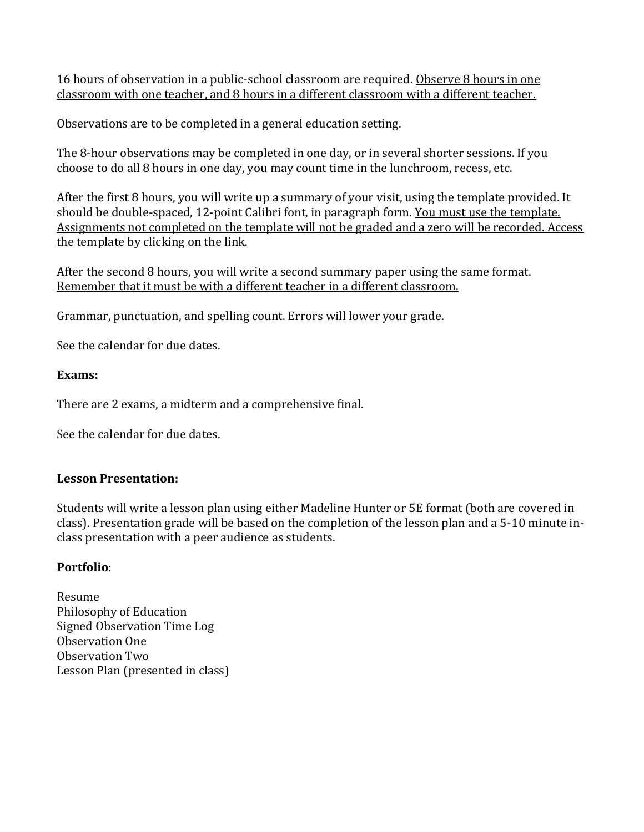16 hours of observation in a public-school classroom are required. Observe 8 hours in one classroom with one teacher, and 8 hours in a different classroom with a different teacher.

Observations are to be completed in a general education setting.

The 8-hour observations may be completed in one day, or in several shorter sessions. If you choose to do all 8 hours in one day, you may count time in the lunchroom, recess, etc.

After the first 8 hours, you will write up a summary of your visit, using the template provided. It should be double-spaced, 12-point Calibri font, in paragraph form. You must use the template. Assignments not completed on the template will not be graded and a zero will be recorded. Access the template by clicking on the link.

After the second 8 hours, you will write a second summary paper using the same format. Remember that it must be with a different teacher in a different classroom.

Grammar, punctuation, and spelling count. Errors will lower your grade.

See the calendar for due dates.

#### **Exams:**

There are 2 exams, a midterm and a comprehensive final.

See the calendar for due dates.

#### **Lesson Presentation:**

Students will write a lesson plan using either Madeline Hunter or 5E format (both are covered in class). Presentation grade will be based on the completion of the lesson plan and a 5-10 minute inclass presentation with a peer audience as students.

#### **Portfolio**:

Resume Philosophy of Education Signed Observation Time Log Observation One Observation Two Lesson Plan (presented in class)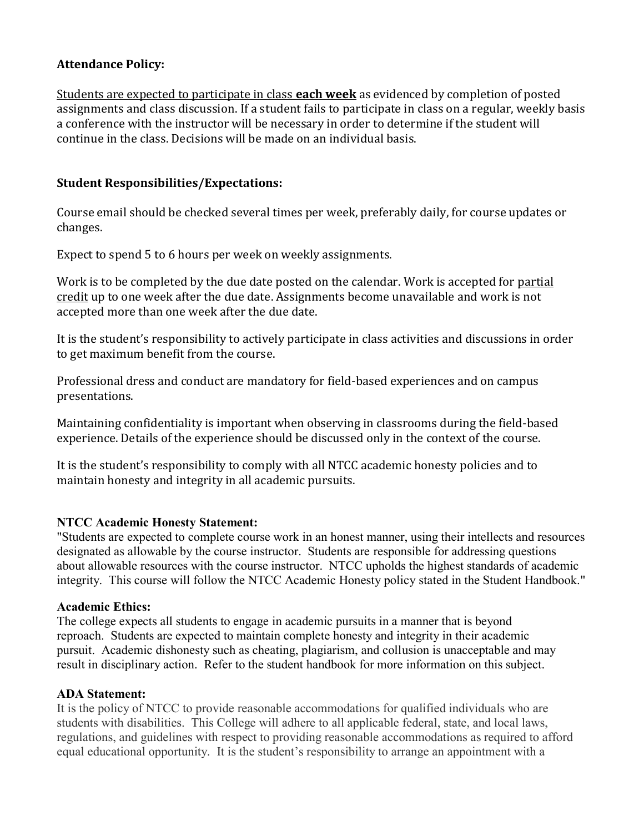## **Attendance Policy:**

Students are expected to participate in class **each week** as evidenced by completion of posted assignments and class discussion. If a student fails to participate in class on a regular, weekly basis a conference with the instructor will be necessary in order to determine if the student will continue in the class. Decisions will be made on an individual basis.

### **Student Responsibilities/Expectations:**

Course email should be checked several times per week, preferably daily, for course updates or changes.

Expect to spend 5 to 6 hours per week on weekly assignments.

Work is to be completed by the due date posted on the calendar. Work is accepted for partial credit up to one week after the due date. Assignments become unavailable and work is not accepted more than one week after the due date.

It is the student's responsibility to actively participate in class activities and discussions in order to get maximum benefit from the course.

Professional dress and conduct are mandatory for field-based experiences and on campus presentations.

Maintaining confidentiality is important when observing in classrooms during the field-based experience. Details of the experience should be discussed only in the context of the course.

It is the student's responsibility to comply with all NTCC academic honesty policies and to maintain honesty and integrity in all academic pursuits.

#### **NTCC Academic Honesty Statement:**

"Students are expected to complete course work in an honest manner, using their intellects and resources designated as allowable by the course instructor. Students are responsible for addressing questions about allowable resources with the course instructor. NTCC upholds the highest standards of academic integrity. This course will follow the NTCC Academic Honesty policy stated in the Student Handbook."

#### **Academic Ethics:**

The college expects all students to engage in academic pursuits in a manner that is beyond reproach. Students are expected to maintain complete honesty and integrity in their academic pursuit. Academic dishonesty such as cheating, plagiarism, and collusion is unacceptable and may result in disciplinary action. Refer to the student handbook for more information on this subject.

#### **ADA Statement:**

It is the policy of NTCC to provide reasonable accommodations for qualified individuals who are students with disabilities. This College will adhere to all applicable federal, state, and local laws, regulations, and guidelines with respect to providing reasonable accommodations as required to afford equal educational opportunity. It is the student's responsibility to arrange an appointment with a